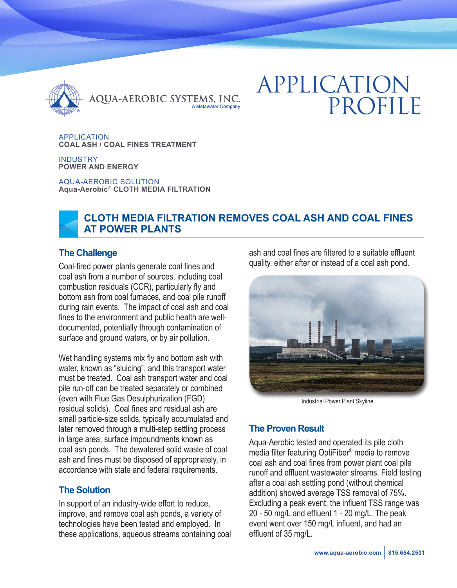

QUA-AEROBIC SYSTEMS, INC. A Metawater Company

# APPLICATION PROFILE

APPLICATION **COAL ASH / COAL FINES TREATMENT**

INDUSTRY **POWER AND ENERGY**

AQUA-AEROBIC SOLUTION **Aqua-Aerobic® CLOTH MEDIA FILTRATION**



### **The Challenge**

Coal-fired power plants generate coal fines and coal ash from a number of sources, including coal combustion residuals (CCR), particularly fly and bottom ash from coal furnaces, and coal pile runoff during rain events. The impact of coal ash and coal fines to the environment and public health are welldocumented, potentially through contamination of surface and ground waters, or by air pollution.

Wet handling systems mix fly and bottom ash with water, known as "sluicing", and this transport water must be treated. Coal ash transport water and coal pile run-off can be treated separately or combined (even with Flue Gas Desulphurization (FGD) residual solids). Coal fines and residual ash are small particle-size solids, typically accumulated and later removed through a multi-step settling process in large area, surface impoundments known as coal ash ponds. The dewatered solid waste of coal ash and fines must be disposed of appropriately, in accordance with state and federal requirements.

## **The Solution**

In support of an industry-wide effort to reduce, improve, and remove coal ash ponds, a variety of technologies have been tested and employed. In these applications, aqueous streams containing coal ash and coal fines are filtered to a suitable effluent quality, either after or instead of a coal ash pond.



Industrial Power Plant Skyline

# **The Proven Result**

Aqua-Aerobic tested and operated its pile cloth media filter featuring OptiFiber® media to remove coal ash and coal fines from power plant coal pile runoff and effluent wastewater streams. Field testing after a coal ash settling pond (without chemical addition) showed average TSS removal of 75%. Excluding a peak event, the influent TSS range was 20 - 50 mg/L and effluent 1 - 20 mg/L. The peak event went over 150 mg/L influent, and had an effluent of 35 mg/L.